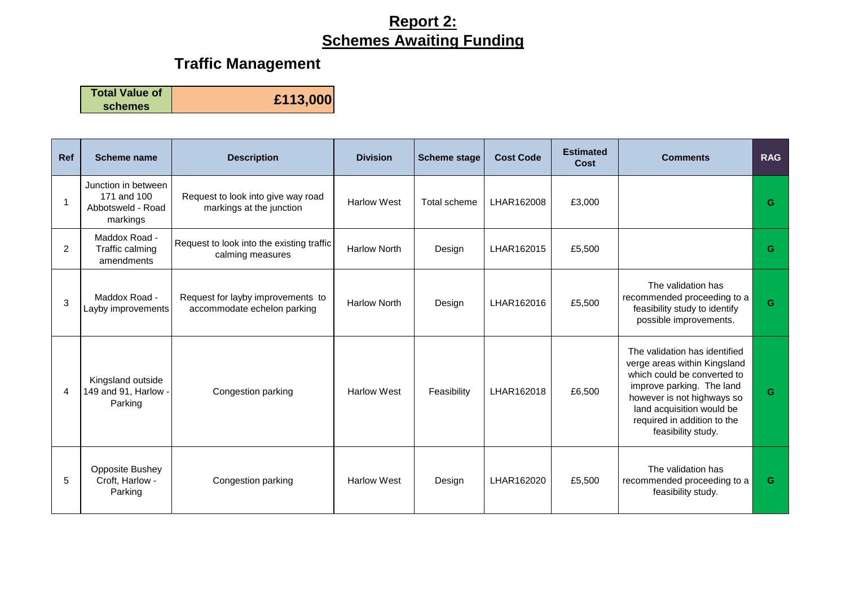## **Report 2: Schemes Awaiting Funding**

# **Traffic Management**

**Total Value of** 

**schemes £113,000**

| <b>Ref</b>     | Scheme name                                                         | <b>Description</b>                                               | <b>Division</b>     | <b>Scheme stage</b> | <b>Cost Code</b> | <b>Estimated</b><br>Cost | <b>Comments</b>                                                                                                                                                                                                                           | <b>RAG</b> |
|----------------|---------------------------------------------------------------------|------------------------------------------------------------------|---------------------|---------------------|------------------|--------------------------|-------------------------------------------------------------------------------------------------------------------------------------------------------------------------------------------------------------------------------------------|------------|
|                | Junction in between<br>171 and 100<br>Abbotsweld - Road<br>markings | Request to look into give way road<br>markings at the junction   | <b>Harlow West</b>  | Total scheme        | LHAR162008       | £3,000                   |                                                                                                                                                                                                                                           | G          |
| $\overline{2}$ | Maddox Road -<br>Traffic calming<br>amendments                      | Request to look into the existing traffic<br>calming measures    | <b>Harlow North</b> | Design              | LHAR162015       | £5,500                   |                                                                                                                                                                                                                                           | G          |
| 3              | Maddox Road -<br>Layby improvements                                 | Request for layby improvements to<br>accommodate echelon parking | <b>Harlow North</b> | Design              | LHAR162016       | £5,500                   | The validation has<br>recommended proceeding to a<br>feasibility study to identify<br>possible improvements.                                                                                                                              | G          |
| 4              | Kingsland outside<br>149 and 91, Harlow -<br>Parking                | Congestion parking                                               | <b>Harlow West</b>  | Feasibility         | LHAR162018       | £6,500                   | The validation has identified<br>verge areas within Kingsland<br>which could be converted to<br>improve parking. The land<br>however is not highways so<br>land acquisition would be<br>required in addition to the<br>feasibility study. | G          |
| 5              | Opposite Bushey<br>Croft, Harlow -<br>Parking                       | Congestion parking                                               | <b>Harlow West</b>  | Design              | LHAR162020       | £5,500                   | The validation has<br>recommended proceeding to a<br>feasibility study.                                                                                                                                                                   | G          |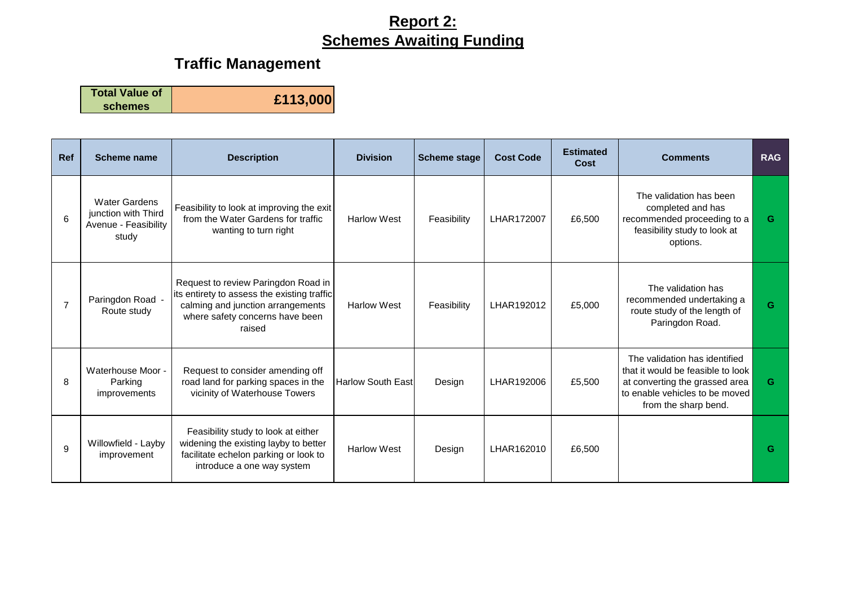## **Report 2: Schemes Awaiting Funding**

# **Traffic Management**

**Total Value of schemes £113,000**

| <b>Ref</b>     | Scheme name                                                                  | <b>Description</b>                                                                                                                                                   | <b>Division</b>           | <b>Scheme stage</b> | <b>Cost Code</b> | <b>Estimated</b><br>Cost | <b>Comments</b>                                                                                                                                                | <b>RAG</b> |
|----------------|------------------------------------------------------------------------------|----------------------------------------------------------------------------------------------------------------------------------------------------------------------|---------------------------|---------------------|------------------|--------------------------|----------------------------------------------------------------------------------------------------------------------------------------------------------------|------------|
| 6              | <b>Water Gardens</b><br>junction with Third<br>Avenue - Feasibility<br>study | Feasibility to look at improving the exit<br>from the Water Gardens for traffic<br>wanting to turn right                                                             | <b>Harlow West</b>        | Feasibility         | LHAR172007       | £6,500                   | The validation has been<br>completed and has<br>recommended proceeding to a<br>feasibility study to look at<br>options.                                        | G          |
| $\overline{7}$ | Paringdon Road -<br>Route study                                              | Request to review Paringdon Road in<br>its entirety to assess the existing traffic<br>calming and junction arrangements<br>where safety concerns have been<br>raised | <b>Harlow West</b>        | Feasibility         | LHAR192012       | £5,000                   | The validation has<br>recommended undertaking a<br>route study of the length of<br>Paringdon Road.                                                             | G          |
| 8              | Waterhouse Moor -<br>Parking<br>improvements                                 | Request to consider amending off<br>road land for parking spaces in the<br>vicinity of Waterhouse Towers                                                             | <b>Harlow South Eastl</b> | Design              | LHAR192006       | £5,500                   | The validation has identified<br>that it would be feasible to look<br>at converting the grassed area<br>to enable vehicles to be moved<br>from the sharp bend. | G          |
| 9              | Willowfield - Layby<br>improvement                                           | Feasibility study to look at either<br>widening the existing layby to better<br>facilitate echelon parking or look to<br>introduce a one way system                  | <b>Harlow West</b>        | Design              | LHAR162010       | £6,500                   |                                                                                                                                                                | G          |